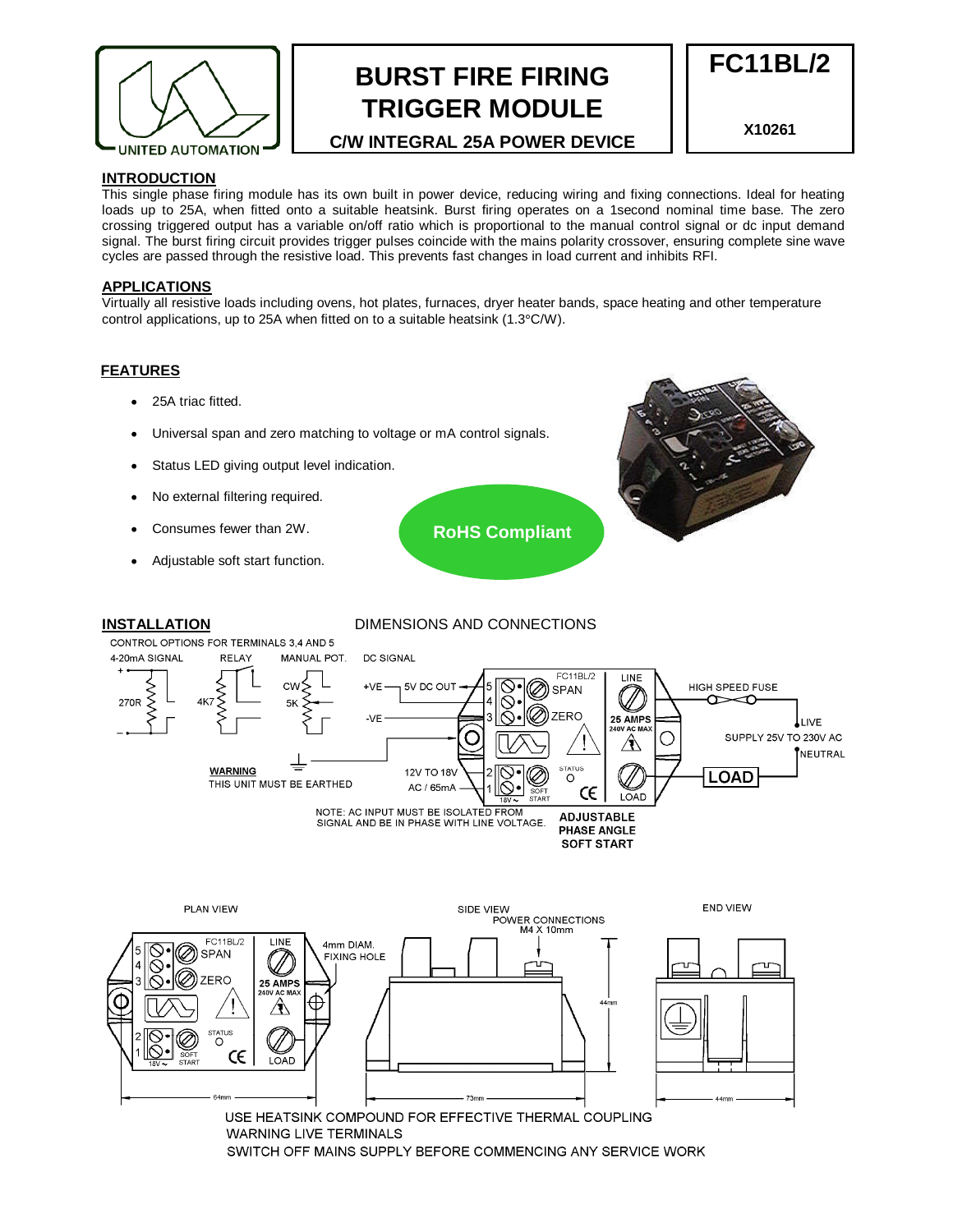

## **BURST FIRE FIRING TRIGGER MODULE**

**C/W INTEGRAL 25A POWER DEVICE**

**X10261**

**FC11BL/2** 

### **INTRODUCTION**

This single phase firing module has its own built in power device, reducing wiring and fixing connections. Ideal for heating loads up to 25A, when fitted onto a suitable heatsink. Burst firing operates on a 1second nominal time base. The zero crossing triggered output has a variable on/off ratio which is proportional to the manual control signal or dc input demand signal. The burst firing circuit provides trigger pulses coincide with the mains polarity crossover, ensuring complete sine wave cycles are passed through the resistive load. This prevents fast changes in load current and inhibits RFI.

#### **APPLICATIONS**

Virtually all resistive loads including ovens, hot plates, furnaces, dryer heater bands, space heating and other temperature control applications, up to 25A when fitted on to a suitable heatsink (1.3°C/W).

#### **FEATURES**

- 25A triac fitted.
- Universal span and zero matching to voltage or mA control signals.
- Status LED giving output level indication.
- No external filtering required.
- Consumes fewer than 2W.
- Adjustable soft start function.

**RoHS Compliant** 

### **INSTALLATION** DIMENSIONS AND CONNECTIONS



USE HEATSINK COMPOUND FOR EFFECTIVE THERMAL COUPLING **WARNING LIVE TERMINALS** SWITCH OFF MAINS SUPPLY BEFORE COMMENCING ANY SERVICE WORK